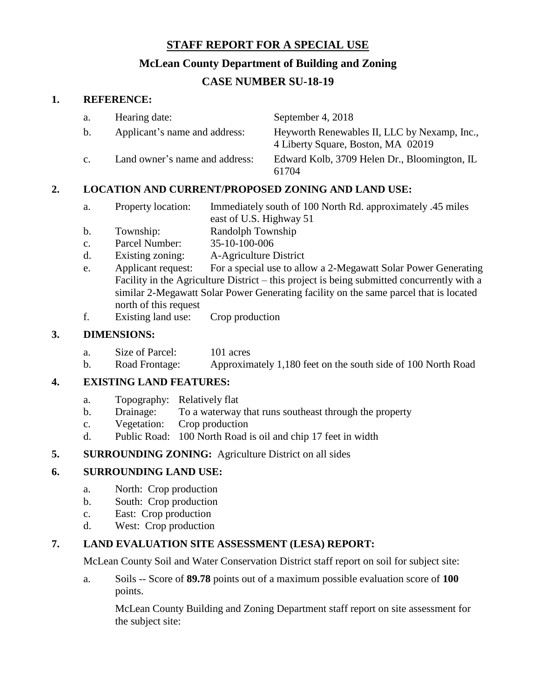#### **STAFF REPORT FOR A SPECIAL USE**

## **McLean County Department of Building and Zoning**

# **CASE NUMBER SU-18-19**

#### **1. REFERENCE:**

| a.             | Hearing date:                  | September 4, 2018                                                                  |
|----------------|--------------------------------|------------------------------------------------------------------------------------|
| $\mathbf{b}$ . | Applicant's name and address:  | Heyworth Renewables II, LLC by Nexamp, Inc.,<br>4 Liberty Square, Boston, MA 02019 |
| C <sub>1</sub> | Land owner's name and address: | Edward Kolb, 3709 Helen Dr., Bloomington, IL<br>61704                              |

## **2. LOCATION AND CURRENT/PROPOSED ZONING AND LAND USE:**

- a. Property location: Immediately south of 100 North Rd. approximately .45 miles east of U.S. Highway 51
- b. Township: Randolph Township
- c. Parcel Number: 35-10-100-006
- d. Existing zoning: A-Agriculture District
- e. Applicant request: For a special use to allow a 2-Megawatt Solar Power Generating Facility in the Agriculture District – this project is being submitted concurrently with a similar 2-Megawatt Solar Power Generating facility on the same parcel that is located north of this request
- f. Existing land use: Crop production

## **3. DIMENSIONS:**

- a. Size of Parcel: 101 acres
- b. Road Frontage: Approximately 1,180 feet on the south side of 100 North Road

## **4. EXISTING LAND FEATURES:**

- a. Topography: Relatively flat
- b. Drainage: To a waterway that runs southeast through the property
- c. Vegetation: Crop production
- d. Public Road: 100 North Road is oil and chip 17 feet in width

## **5. SURROUNDING ZONING:** Agriculture District on all sides

## **6. SURROUNDING LAND USE:**

- a. North: Crop production
- b. South: Crop production
- c. East: Crop production
- d. West: Crop production

## **7. LAND EVALUATION SITE ASSESSMENT (LESA) REPORT:**

McLean County Soil and Water Conservation District staff report on soil for subject site:

a. Soils -- Score of **89.78** points out of a maximum possible evaluation score of **100** points.

McLean County Building and Zoning Department staff report on site assessment for the subject site: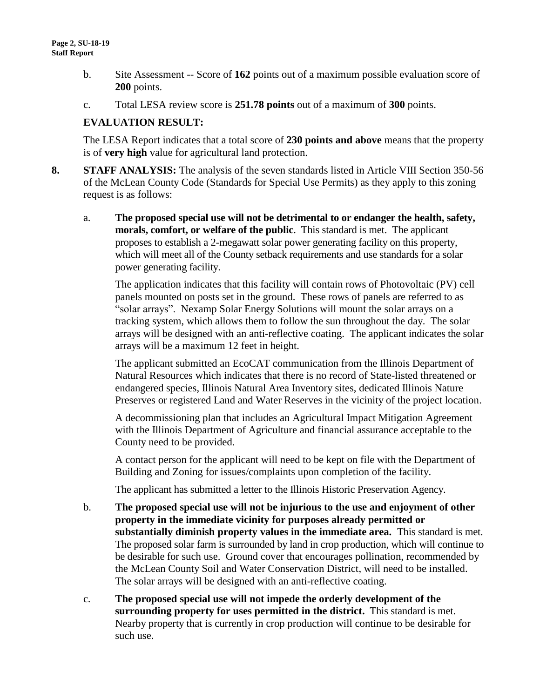- b. Site Assessment -- Score of **162** points out of a maximum possible evaluation score of **200** points.
- c. Total LESA review score is **251.78 points** out of a maximum of **300** points.

#### **EVALUATION RESULT:**

The LESA Report indicates that a total score of **230 points and above** means that the property is of **very high** value for agricultural land protection.

- **8. STAFF ANALYSIS:** The analysis of the seven standards listed in Article VIII Section 350-56 of the McLean County Code (Standards for Special Use Permits) as they apply to this zoning request is as follows:
	- a. **The proposed special use will not be detrimental to or endanger the health, safety, morals, comfort, or welfare of the public**. This standard is met. The applicant proposes to establish a 2-megawatt solar power generating facility on this property, which will meet all of the County setback requirements and use standards for a solar power generating facility.

The application indicates that this facility will contain rows of Photovoltaic (PV) cell panels mounted on posts set in the ground. These rows of panels are referred to as "solar arrays". Nexamp Solar Energy Solutions will mount the solar arrays on a tracking system, which allows them to follow the sun throughout the day. The solar arrays will be designed with an anti-reflective coating. The applicant indicates the solar arrays will be a maximum 12 feet in height.

The applicant submitted an EcoCAT communication from the Illinois Department of Natural Resources which indicates that there is no record of State-listed threatened or endangered species, Illinois Natural Area Inventory sites, dedicated Illinois Nature Preserves or registered Land and Water Reserves in the vicinity of the project location.

A decommissioning plan that includes an Agricultural Impact Mitigation Agreement with the Illinois Department of Agriculture and financial assurance acceptable to the County need to be provided.

A contact person for the applicant will need to be kept on file with the Department of Building and Zoning for issues/complaints upon completion of the facility.

The applicant has submitted a letter to the Illinois Historic Preservation Agency.

- b. **The proposed special use will not be injurious to the use and enjoyment of other property in the immediate vicinity for purposes already permitted or substantially diminish property values in the immediate area.** This standard is met. The proposed solar farm is surrounded by land in crop production, which will continue to be desirable for such use. Ground cover that encourages pollination, recommended by the McLean County Soil and Water Conservation District, will need to be installed. The solar arrays will be designed with an anti-reflective coating.
- c. **The proposed special use will not impede the orderly development of the surrounding property for uses permitted in the district.** This standard is met. Nearby property that is currently in crop production will continue to be desirable for such use.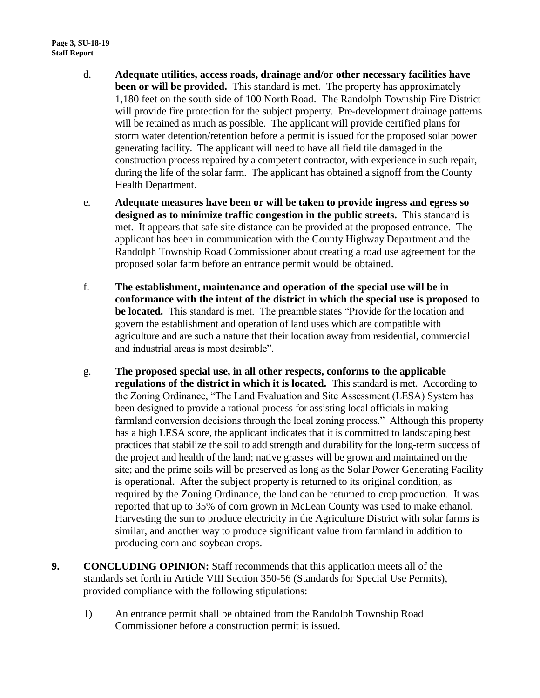- d. **Adequate utilities, access roads, drainage and/or other necessary facilities have been or will be provided.** This standard is met. The property has approximately 1,180 feet on the south side of 100 North Road. The Randolph Township Fire District will provide fire protection for the subject property. Pre-development drainage patterns will be retained as much as possible. The applicant will provide certified plans for storm water detention/retention before a permit is issued for the proposed solar power generating facility. The applicant will need to have all field tile damaged in the construction process repaired by a competent contractor, with experience in such repair, during the life of the solar farm. The applicant has obtained a signoff from the County Health Department.
- e. **Adequate measures have been or will be taken to provide ingress and egress so designed as to minimize traffic congestion in the public streets.** This standard is met. It appears that safe site distance can be provided at the proposed entrance. The applicant has been in communication with the County Highway Department and the Randolph Township Road Commissioner about creating a road use agreement for the proposed solar farm before an entrance permit would be obtained.
- f. **The establishment, maintenance and operation of the special use will be in conformance with the intent of the district in which the special use is proposed to be located.** This standard is met. The preamble states "Provide for the location and govern the establishment and operation of land uses which are compatible with agriculture and are such a nature that their location away from residential, commercial and industrial areas is most desirable".
- g. **The proposed special use, in all other respects, conforms to the applicable regulations of the district in which it is located.** This standard is met. According to the Zoning Ordinance, "The Land Evaluation and Site Assessment (LESA) System has been designed to provide a rational process for assisting local officials in making farmland conversion decisions through the local zoning process." Although this property has a high LESA score, the applicant indicates that it is committed to landscaping best practices that stabilize the soil to add strength and durability for the long-term success of the project and health of the land; native grasses will be grown and maintained on the site; and the prime soils will be preserved as long as the Solar Power Generating Facility is operational. After the subject property is returned to its original condition, as required by the Zoning Ordinance, the land can be returned to crop production. It was reported that up to 35% of corn grown in McLean County was used to make ethanol. Harvesting the sun to produce electricity in the Agriculture District with solar farms is similar, and another way to produce significant value from farmland in addition to producing corn and soybean crops.
- **9. CONCLUDING OPINION:** Staff recommends that this application meets all of the standards set forth in Article VIII Section 350-56 (Standards for Special Use Permits), provided compliance with the following stipulations:
	- 1) An entrance permit shall be obtained from the Randolph Township Road Commissioner before a construction permit is issued.